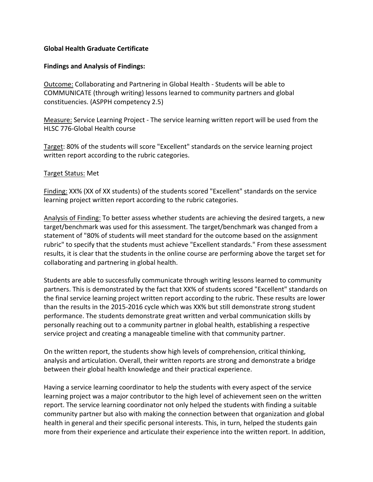## **Global Health Graduate Certificate**

## **Findings and Analysis of Findings:**

Outcome: Collaborating and Partnering in Global Health - Students will be able to COMMUNICATE (through writing) lessons learned to community partners and global constituencies. (ASPPH competency 2.5)

Measure: Service Learning Project - The service learning written report will be used from the HLSC 776-Global Health course

Target: 80% of the students will score "Excellent" standards on the service learning project written report according to the rubric categories.

## Target Status: Met

Finding: XX% (XX of XX students) of the students scored "Excellent" standards on the service learning project written report according to the rubric categories.

Analysis of Finding: To better assess whether students are achieving the desired targets, a new target/benchmark was used for this assessment. The target/benchmark was changed from a statement of "80% of students will meet standard for the outcome based on the assignment rubric" to specify that the students must achieve "Excellent standards." From these assessment results, it is clear that the students in the online course are performing above the target set for collaborating and partnering in global health.

Students are able to successfully communicate through writing lessons learned to community partners. This is demonstrated by the fact that XX% of students scored "Excellent" standards on the final service learning project written report according to the rubric. These results are lower than the results in the 2015-2016 cycle which was XX% but still demonstrate strong student performance. The students demonstrate great written and verbal communication skills by personally reaching out to a community partner in global health, establishing a respective service project and creating a manageable timeline with that community partner.

On the written report, the students show high levels of comprehension, critical thinking, analysis and articulation. Overall, their written reports are strong and demonstrate a bridge between their global health knowledge and their practical experience.

Having a service learning coordinator to help the students with every aspect of the service learning project was a major contributor to the high level of achievement seen on the written report. The service learning coordinator not only helped the students with finding a suitable community partner but also with making the connection between that organization and global health in general and their specific personal interests. This, in turn, helped the students gain more from their experience and articulate their experience into the written report. In addition,